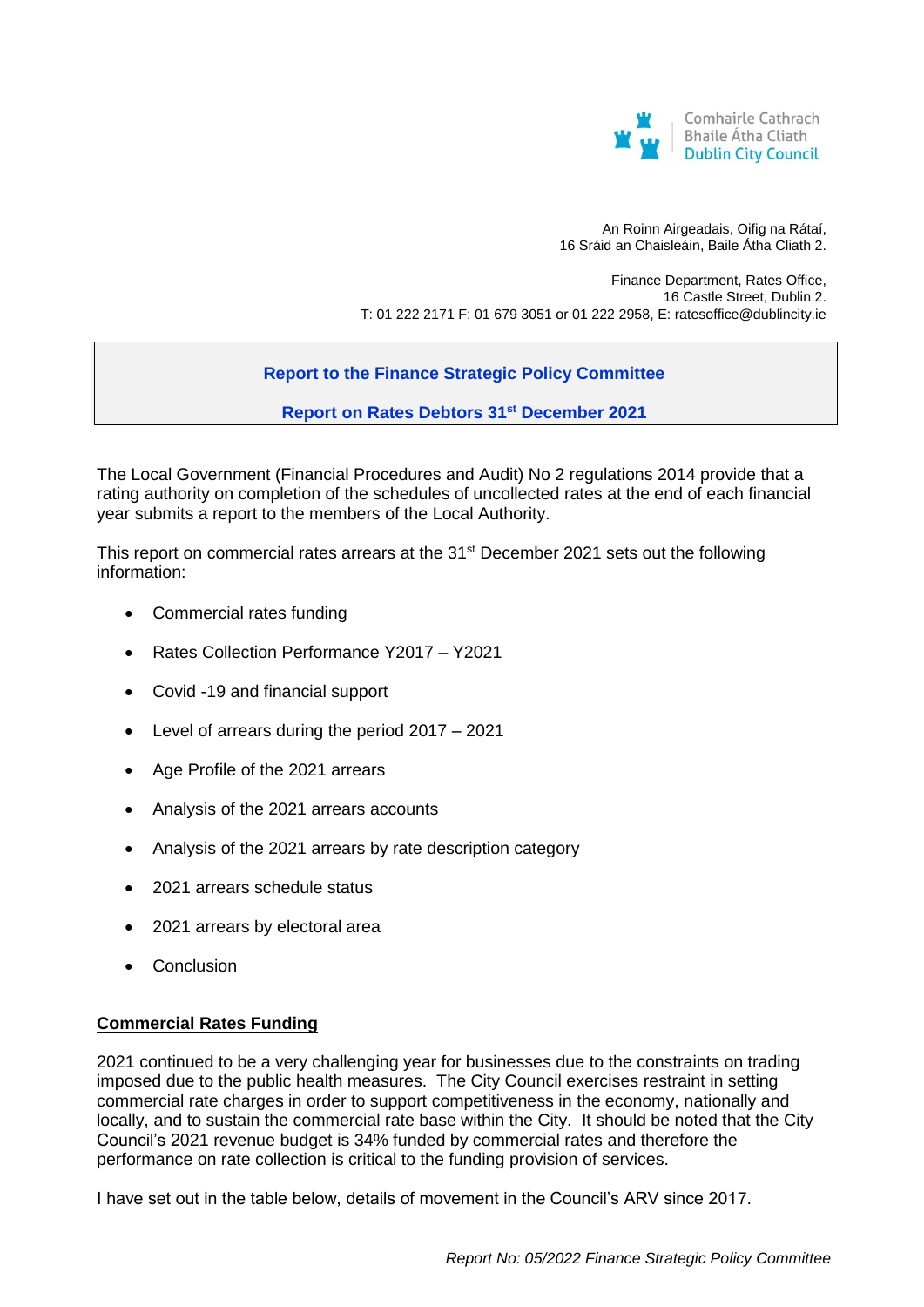

An Roinn Airgeadais, Oifig na Rátaí, 16 Sráid an Chaisleáin, Baile Átha Cliath 2.

Finance Department, Rates Office, 16 Castle Street, Dublin 2. T: 01 222 2171 F: 01 679 3051 or 01 222 2958, E: ratesoffice@dublincity.ie

# **Report to the Finance Strategic Policy Committee**

**Report on Rates Debtors 31st December 2021**

The Local Government (Financial Procedures and Audit) No 2 regulations 2014 provide that a rating authority on completion of the schedules of uncollected rates at the end of each financial year submits a report to the members of the Local Authority.

This report on commercial rates arrears at the 31<sup>st</sup> December 2021 sets out the following information:

- Commercial rates funding
- Rates Collection Performance Y2017 Y2021
- Covid -19 and financial support
- Level of arrears during the period 2017 2021
- Age Profile of the 2021 arrears
- Analysis of the 2021 arrears accounts
- Analysis of the 2021 arrears by rate description category
- 2021 arrears schedule status
- 2021 arrears by electoral area
- Conclusion

## **Commercial Rates Funding**

2021 continued to be a very challenging year for businesses due to the constraints on trading imposed due to the public health measures. The City Council exercises restraint in setting commercial rate charges in order to support competitiveness in the economy, nationally and locally, and to sustain the commercial rate base within the City. It should be noted that the City Council's 2021 revenue budget is 34% funded by commercial rates and therefore the performance on rate collection is critical to the funding provision of services.

I have set out in the table below, details of movement in the Council's ARV since 2017.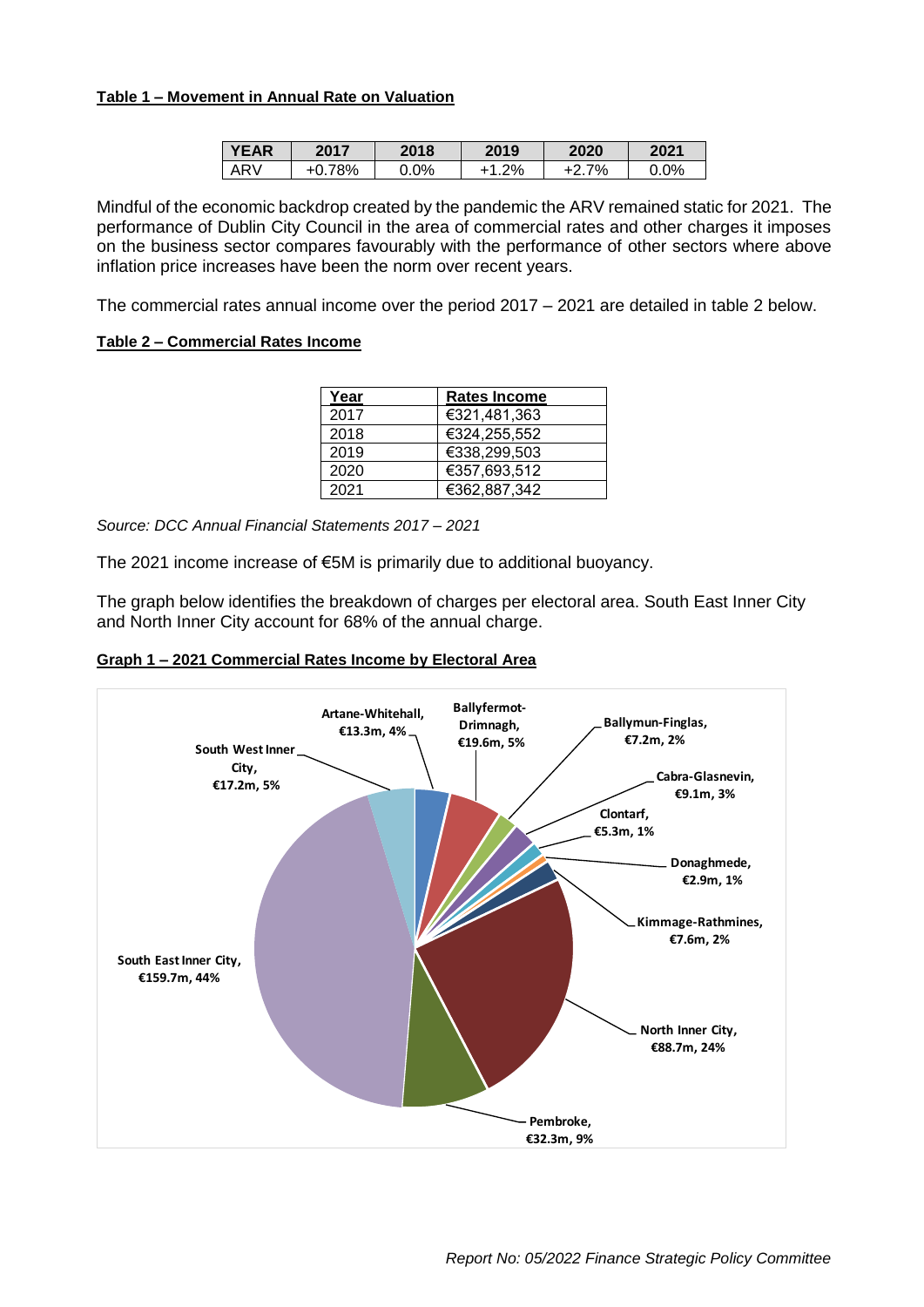#### **Table 1 – Movement in Annual Rate on Valuation**

| <b>YEAR</b> | 2017 | 2018    | 2019 | 2020 | 2021 |
|-------------|------|---------|------|------|------|
| ARV         | 78%  | $0.0\%$ | .2%  | 7%   | 0.0% |

Mindful of the economic backdrop created by the pandemic the ARV remained static for 2021. The performance of Dublin City Council in the area of commercial rates and other charges it imposes on the business sector compares favourably with the performance of other sectors where above inflation price increases have been the norm over recent years.

The commercial rates annual income over the period 2017 – 2021 are detailed in table 2 below.

#### **Table 2 – Commercial Rates Income**

| Year | <b>Rates Income</b> |
|------|---------------------|
| 2017 | €321,481,363        |
| 2018 | €324.255.552        |
| 2019 | €338,299,503        |
| 2020 | €357,693,512        |
| 2021 | €362,887,342        |

*Source: DCC Annual Financial Statements 2017 – 2021*

The 2021 income increase of €5M is primarily due to additional buoyancy.

The graph below identifies the breakdown of charges per electoral area. South East Inner City and North Inner City account for 68% of the annual charge.



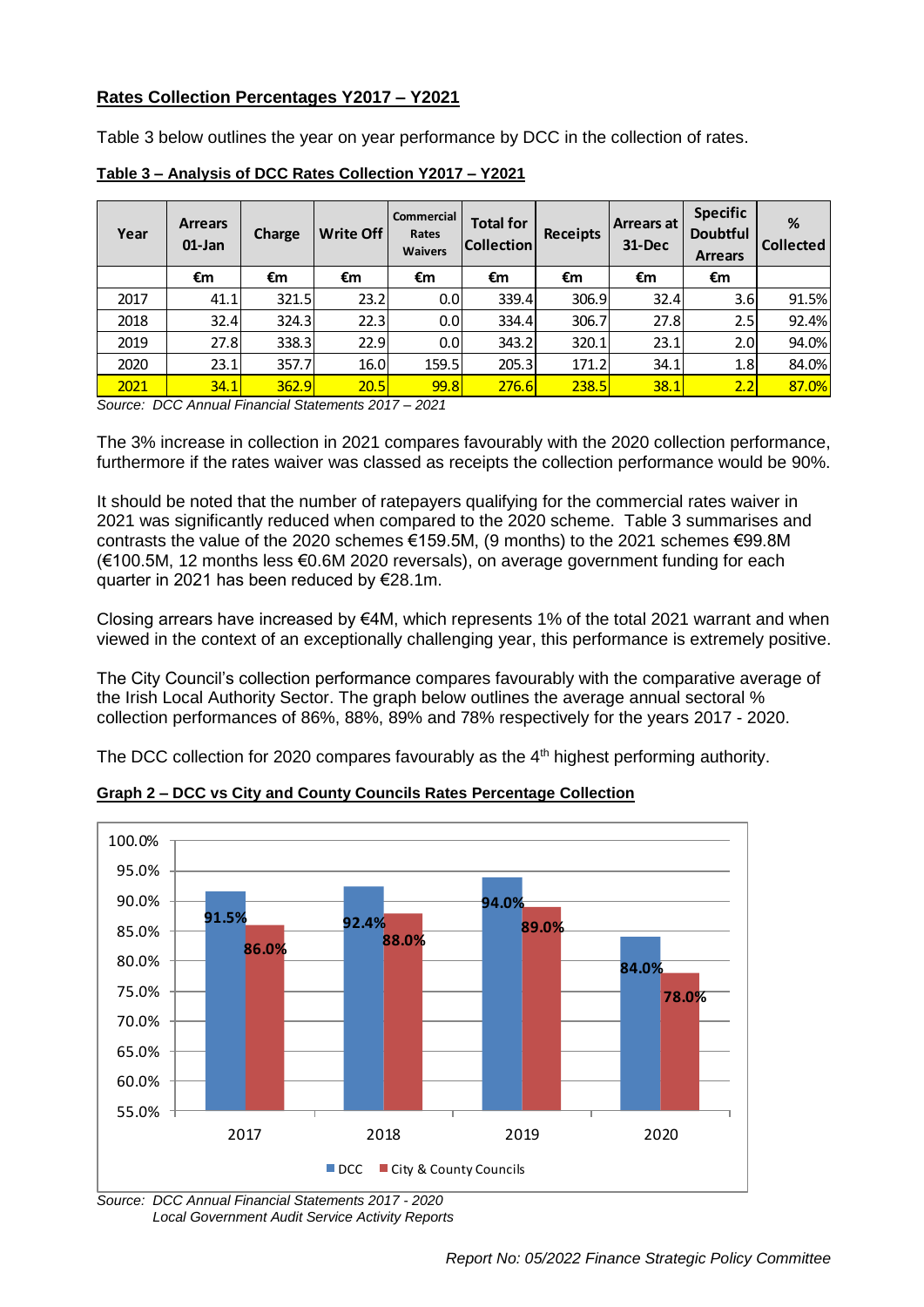## **Rates Collection Percentages Y2017 – Y2021**

Table 3 below outlines the year on year performance by DCC in the collection of rates.

| Year | <b>Arrears</b><br>$01$ -Jan | Charge | <b>Write Off</b> | Commercial<br>Rates<br><b>Waivers</b> | <b>Total for</b><br><b>Collection</b> | <b>Receipts</b> | <b>Arrears at</b><br>31-Dec | <b>Specific</b><br><b>Doubtful</b><br><b>Arrears</b> | %<br><b>Collected</b> |
|------|-----------------------------|--------|------------------|---------------------------------------|---------------------------------------|-----------------|-----------------------------|------------------------------------------------------|-----------------------|
|      | €m                          | €m     | €m               | €m                                    | €m                                    | €m              | €m                          | €m                                                   |                       |
| 2017 | 41.1                        | 321.5  | 23.2             | 0.0                                   | 339.4                                 | 306.9           | 32.4                        | 3.6                                                  | 91.5%                 |
| 2018 | 32.4                        | 324.3  | 22.3             | 0.0                                   | 334.4                                 | 306.7           | 27.8                        | 2.5                                                  | 92.4%                 |
| 2019 | 27.8                        | 338.3  | 22.9             | 0.0                                   | 343.2                                 | 320.1           | 23.1                        | 2.OI                                                 | 94.0%                 |
| 2020 | 23.1                        | 357.7  | 16.0             | 159.5                                 | 205.3                                 | 171.2           | 34.1                        | 1.8                                                  | 84.0%                 |
| 2021 | 34.1                        | 362.9  | 20.5             | <b>99.8</b>                           | <b>276.6</b>                          | 238.5           | 38.1                        | 2.2                                                  | 87.0%                 |

**Table 3 – Analysis of DCC Rates Collection Y2017 – Y2021**

*Source: DCC Annual Financial Statements 2017 – 2021*

The 3% increase in collection in 2021 compares favourably with the 2020 collection performance, furthermore if the rates waiver was classed as receipts the collection performance would be 90%.

It should be noted that the number of ratepayers qualifying for the commercial rates waiver in 2021 was significantly reduced when compared to the 2020 scheme. Table 3 summarises and contrasts the value of the 2020 schemes €159.5M, (9 months) to the 2021 schemes €99.8M (€100.5M, 12 months less €0.6M 2020 reversals), on average government funding for each quarter in 2021 has been reduced by €28.1m.

Closing arrears have increased by  $\epsilon 4M$ , which represents 1% of the total 2021 warrant and when viewed in the context of an exceptionally challenging year, this performance is extremely positive.

The City Council's collection performance compares favourably with the comparative average of the Irish Local Authority Sector. The graph below outlines the average annual sectoral % collection performances of 86%, 88%, 89% and 78% respectively for the years 2017 - 2020.

The DCC collection for 2020 compares favourably as the  $4<sup>th</sup>$  highest performing authority.



**Graph 2 – DCC vs City and County Councils Rates Percentage Collection**

*Source: DCC Annual Financial Statements 2017 - 2020 Local Government Audit Service Activity Reports*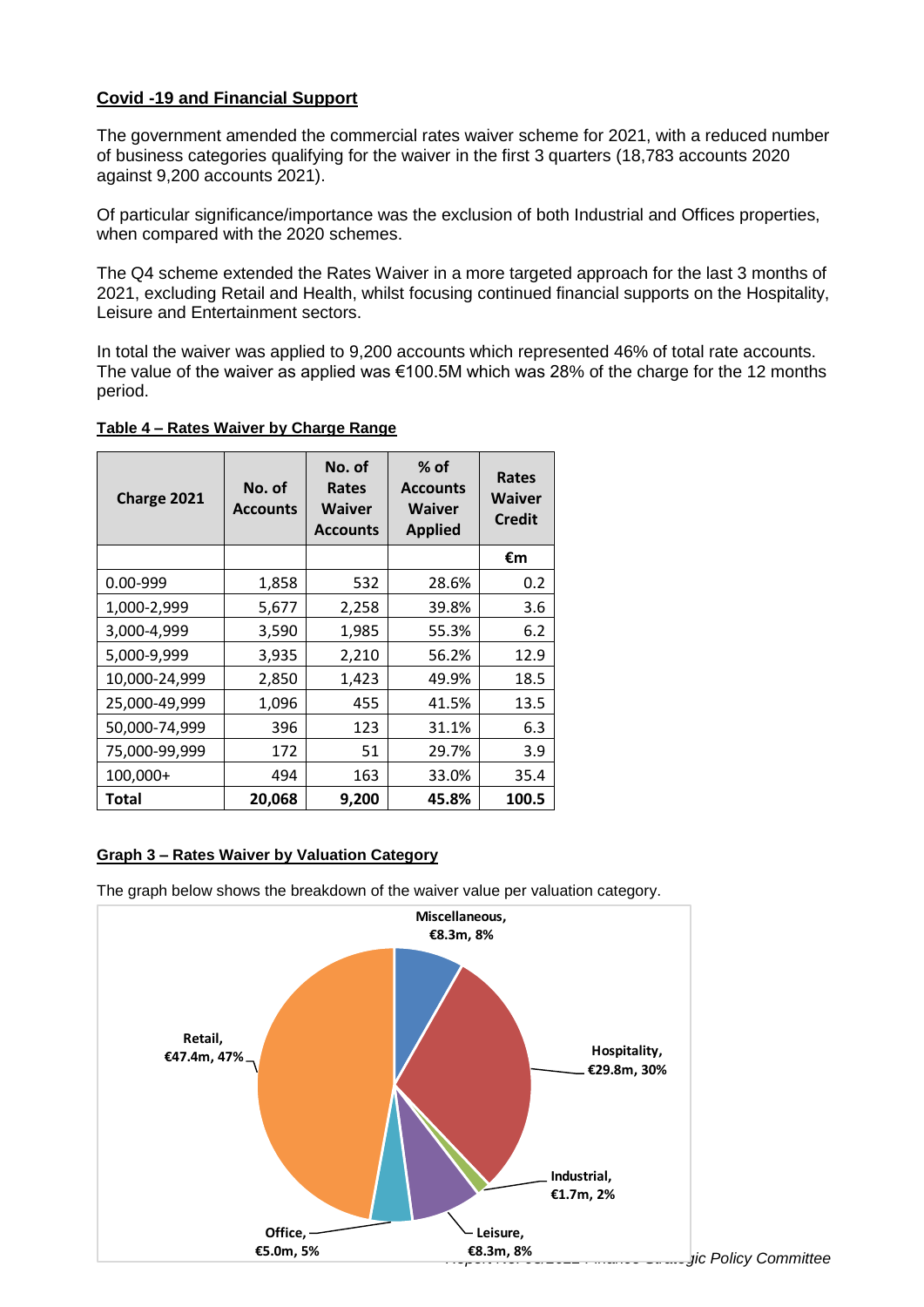## **Covid -19 and Financial Support**

The government amended the commercial rates waiver scheme for 2021, with a reduced number of business categories qualifying for the waiver in the first 3 quarters (18,783 accounts 2020 against 9,200 accounts 2021).

Of particular significance/importance was the exclusion of both Industrial and Offices properties, when compared with the 2020 schemes.

The Q4 scheme extended the Rates Waiver in a more targeted approach for the last 3 months of 2021, excluding Retail and Health, whilst focusing continued financial supports on the Hospitality, Leisure and Entertainment sectors.

In total the waiver was applied to 9,200 accounts which represented 46% of total rate accounts. The value of the waiver as applied was  $€100.5M$  which was 28% of the charge for the 12 months period.

**Table 4 – Rates Waiver by Charge Range**

| Charge 2021   | No. of<br><b>Accounts</b> | No. of<br>Rates<br><b>Waiver</b><br><b>Accounts</b> | $%$ of<br><b>Accounts</b><br><b>Waiver</b><br><b>Applied</b> | Rates<br><b>Waiver</b><br><b>Credit</b> |
|---------------|---------------------------|-----------------------------------------------------|--------------------------------------------------------------|-----------------------------------------|
|               |                           |                                                     |                                                              | €m                                      |
| $0.00 - 999$  | 1,858                     | 532                                                 | 28.6%                                                        | 0.2                                     |
| 1,000-2,999   | 5,677                     | 2,258                                               | 39.8%                                                        | 3.6                                     |
| 3,000-4,999   | 3,590                     | 1,985                                               | 55.3%                                                        | 6.2                                     |
| 5,000-9,999   | 3,935                     | 2,210                                               | 56.2%                                                        | 12.9                                    |
| 10,000-24,999 | 2,850                     | 1,423                                               | 49.9%                                                        | 18.5                                    |
| 25,000-49,999 | 1,096                     | 455                                                 | 41.5%                                                        | 13.5                                    |
| 50,000-74,999 | 396                       | 123                                                 | 31.1%                                                        | 6.3                                     |
| 75,000-99,999 | 172                       | 51                                                  | 29.7%                                                        | 3.9                                     |
| 100,000+      | 494                       | 163                                                 | 33.0%                                                        | 35.4                                    |
| Total         | 20,068                    | 9,200                                               | 45.8%                                                        | 100.5                                   |

## **Graph 3 – Rates Waiver by Valuation Category**

The graph below shows the breakdown of the waiver value per valuation category.

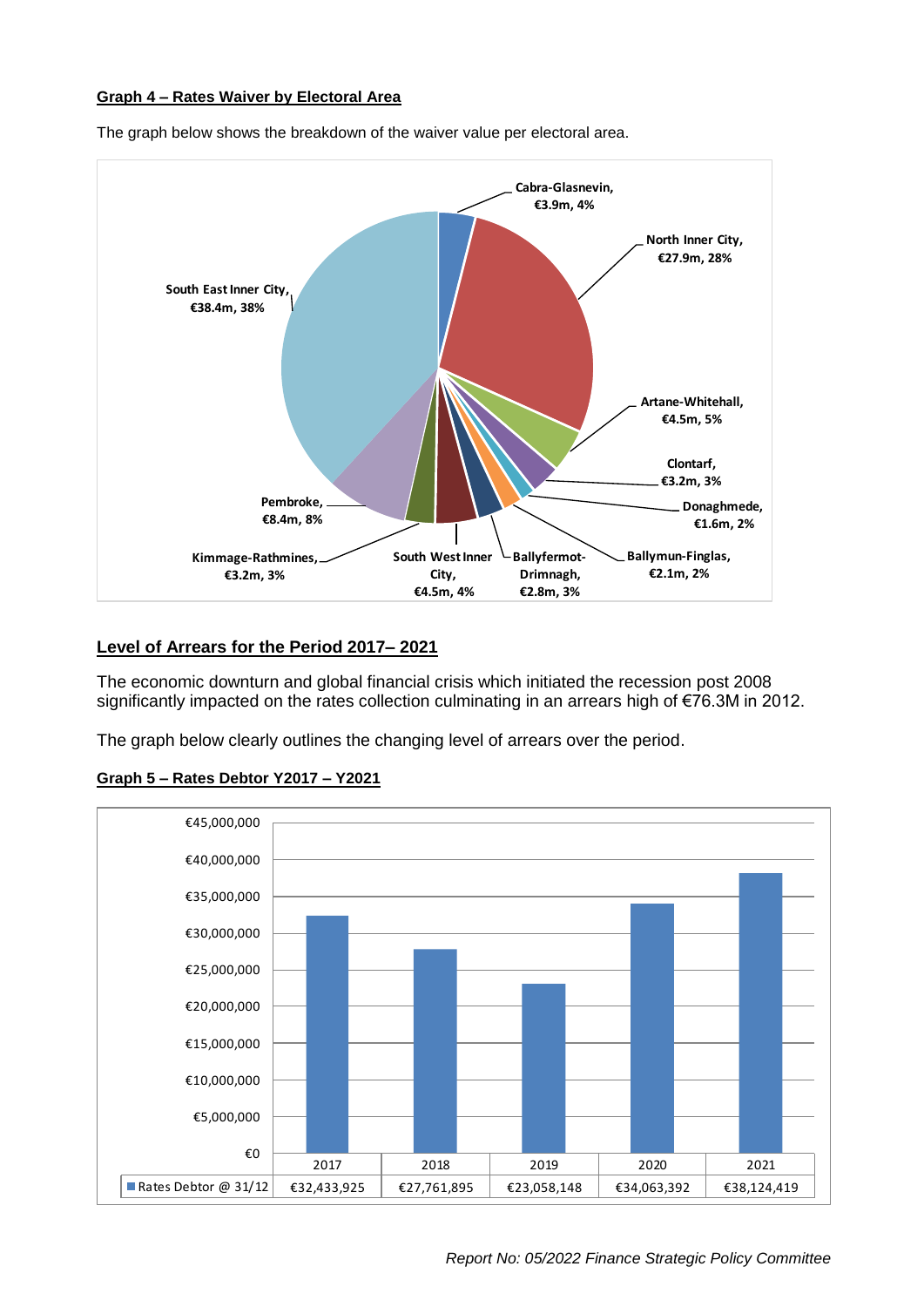#### **Graph 4 – Rates Waiver by Electoral Area**



The graph below shows the breakdown of the waiver value per electoral area.

## **Level of Arrears for the Period 2017– 2021**

The economic downturn and global financial crisis which initiated the recession post 2008 significantly impacted on the rates collection culminating in an arrears high of €76.3M in 2012.

The graph below clearly outlines the changing level of arrears over the period.



#### **Graph 5 – Rates Debtor Y2017 – Y2021**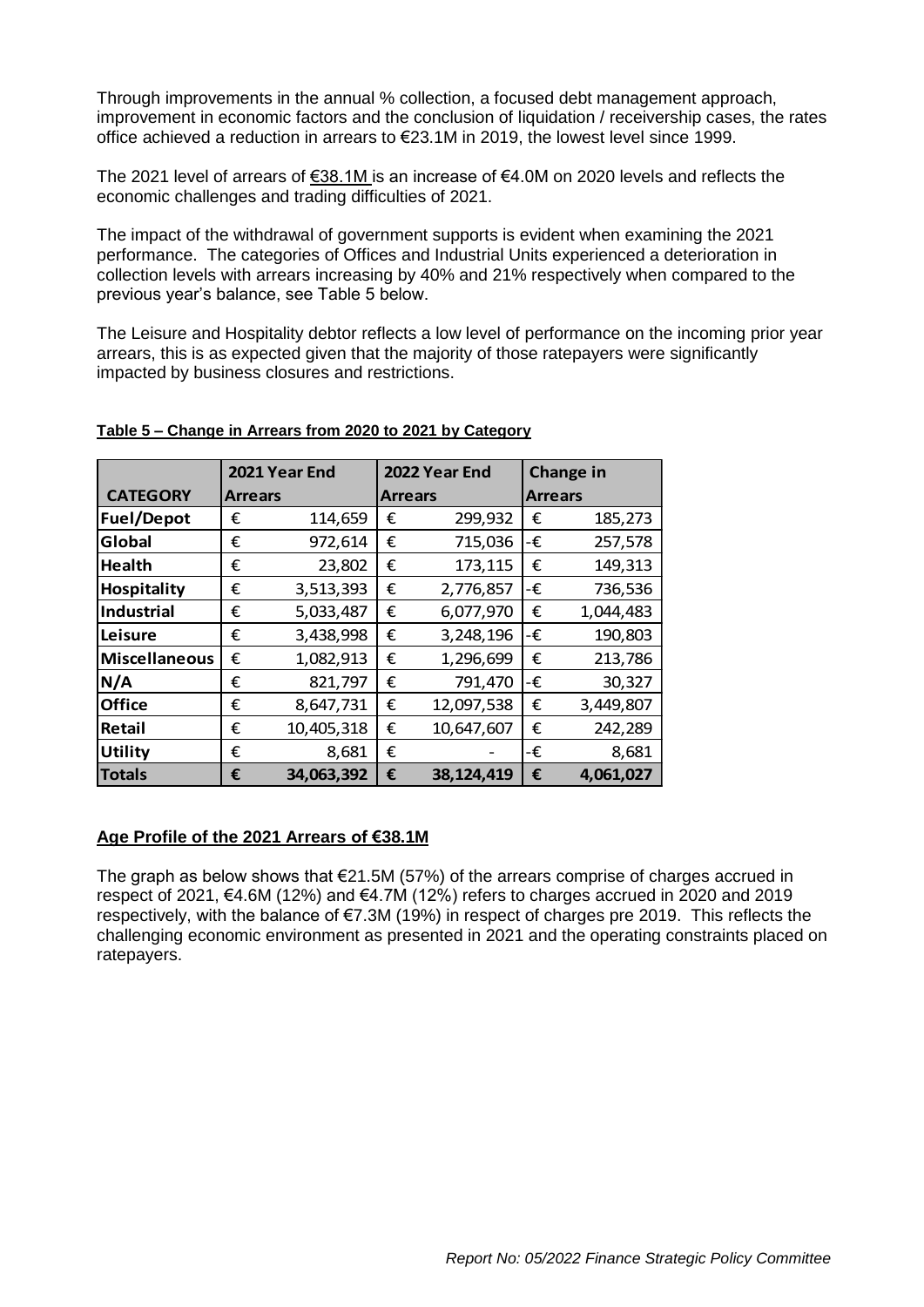Through improvements in the annual % collection, a focused debt management approach, improvement in economic factors and the conclusion of liquidation / receivership cases, the rates office achieved a reduction in arrears to €23.1M in 2019, the lowest level since 1999.

The 2021 level of arrears of €38.1M is an increase of €4.0M on 2020 levels and reflects the economic challenges and trading difficulties of 2021.

The impact of the withdrawal of government supports is evident when examining the 2021 performance. The categories of Offices and Industrial Units experienced a deterioration in collection levels with arrears increasing by 40% and 21% respectively when compared to the previous year's balance, see Table 5 below.

The Leisure and Hospitality debtor reflects a low level of performance on the incoming prior year arrears, this is as expected given that the majority of those ratepayers were significantly impacted by business closures and restrictions.

|                      | 2021 Year End  |            | 2022 Year End |                | Change in |                |
|----------------------|----------------|------------|---------------|----------------|-----------|----------------|
| <b>CATEGORY</b>      | <b>Arrears</b> |            |               | <b>Arrears</b> |           | <b>Arrears</b> |
| <b>Fuel/Depot</b>    | €              | 114,659    | €             | 299,932        | €         | 185,273        |
| Global               | €              | 972,614    | €             | 715,036        | -€        | 257,578        |
| <b>Health</b>        | €              | 23,802     | €             | 173,115        | €         | 149,313        |
| <b>Hospitality</b>   | €              | 3,513,393  | €             | 2,776,857      | -€        | 736,536        |
| <b>Industrial</b>    | €              | 5,033,487  | €             | 6,077,970      | €         | 1,044,483      |
| Leisure              | €              | 3,438,998  | €             | 3,248,196      | -€        | 190,803        |
| <b>Miscellaneous</b> | €              | 1,082,913  | €             | 1,296,699      | €         | 213,786        |
| N/A                  | €              | 821,797    | €             | 791,470        | -€        | 30,327         |
| <b>Office</b>        | €              | 8,647,731  | €             | 12,097,538     | €         | 3,449,807      |
| Retail               | €              | 10,405,318 | €             | 10,647,607     | €         | 242,289        |
| <b>Utility</b>       | €              | 8,681      | €             |                | -€        | 8,681          |
| <b>Totals</b>        | €              | 34,063,392 | €             | 38,124,419     | €         | 4,061,027      |

#### **Table 5 – Change in Arrears from 2020 to 2021 by Category**

#### **Age Profile of the 2021 Arrears of €38.1M**

The graph as below shows that  $E$ 21.5M (57%) of the arrears comprise of charges accrued in respect of 2021, €4.6M (12%) and €4.7M (12%) refers to charges accrued in 2020 and 2019 respectively, with the balance of €7.3M (19%) in respect of charges pre 2019. This reflects the challenging economic environment as presented in 2021 and the operating constraints placed on ratepayers.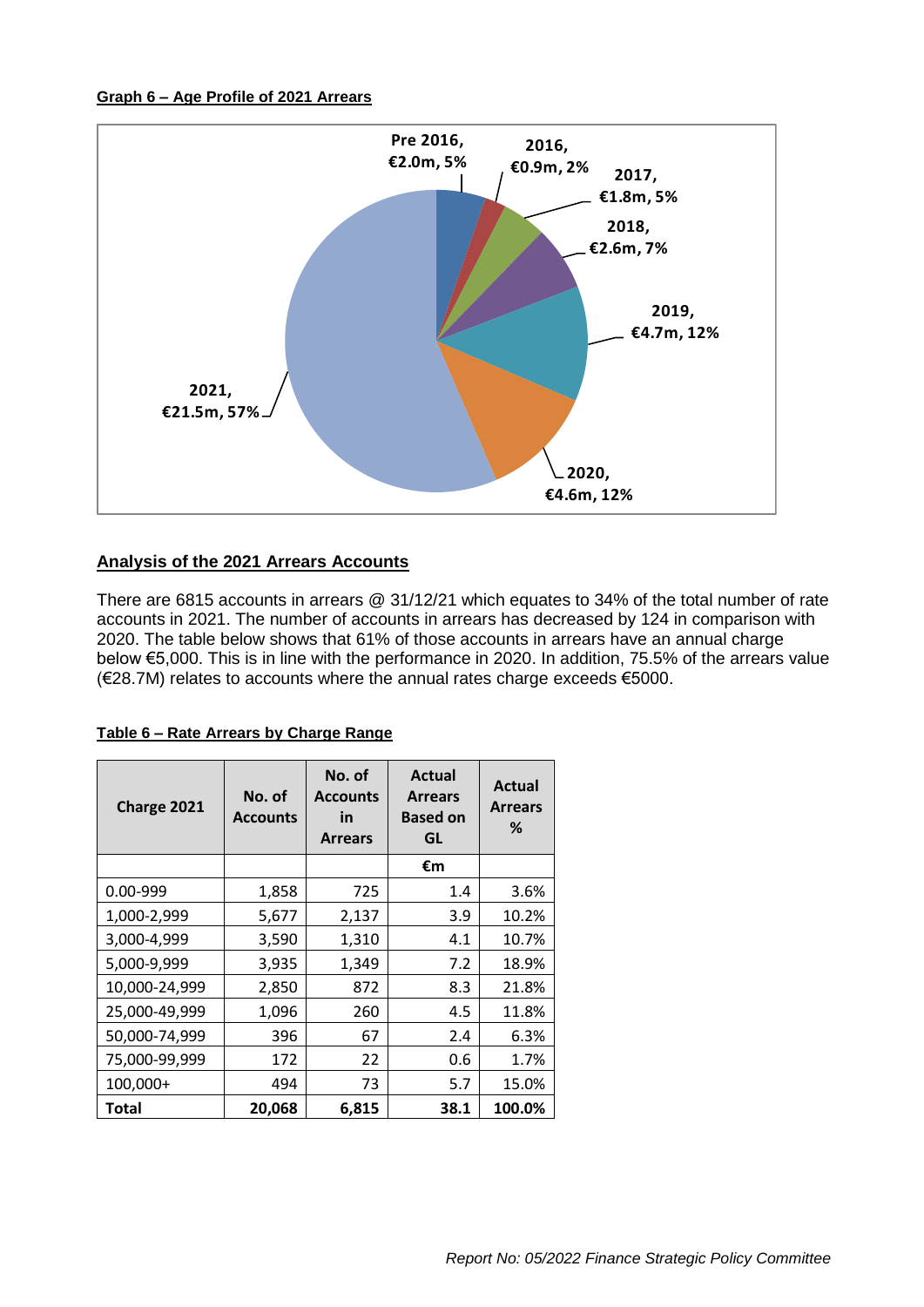#### **Graph 6 – Age Profile of 2021 Arrears**



## **Analysis of the 2021 Arrears Accounts**

There are 6815 accounts in arrears @ 31/12/21 which equates to 34% of the total number of rate accounts in 2021. The number of accounts in arrears has decreased by 124 in comparison with 2020. The table below shows that 61% of those accounts in arrears have an annual charge below €5,000. This is in line with the performance in 2020. In addition, 75.5% of the arrears value (€28.7M) relates to accounts where the annual rates charge exceeds €5000.

| Charge 2021   | No. of<br><b>Accounts</b> | No. of<br><b>Accounts</b><br>in<br><b>Arrears</b> | Actual<br><b>Arrears</b><br><b>Based on</b><br>GL | <b>Actual</b><br><b>Arrears</b><br>℅ |
|---------------|---------------------------|---------------------------------------------------|---------------------------------------------------|--------------------------------------|
|               |                           |                                                   | €m                                                |                                      |
| $0.00 - 999$  | 1,858                     | 725                                               | 1.4                                               | 3.6%                                 |
| 1,000-2,999   | 5,677                     | 2,137                                             | 3.9                                               | 10.2%                                |
| 3,000-4,999   | 3,590                     | 1,310                                             | 4.1                                               | 10.7%                                |
| 5,000-9,999   | 3,935                     | 1,349                                             | 7.2                                               | 18.9%                                |
| 10,000-24,999 | 2,850                     | 872                                               | 8.3                                               | 21.8%                                |
| 25,000-49,999 | 1,096                     | 260                                               | 4.5                                               | 11.8%                                |
| 50,000-74,999 | 396                       | 67                                                | 2.4                                               | 6.3%                                 |
| 75,000-99,999 | 172                       | 22                                                | 0.6                                               | 1.7%                                 |
| 100,000+      | 494                       | 73                                                | 5.7                                               | 15.0%                                |
| <b>Total</b>  | 20,068                    | 6,815                                             | 38.1                                              | 100.0%                               |

## **Table 6 – Rate Arrears by Charge Range**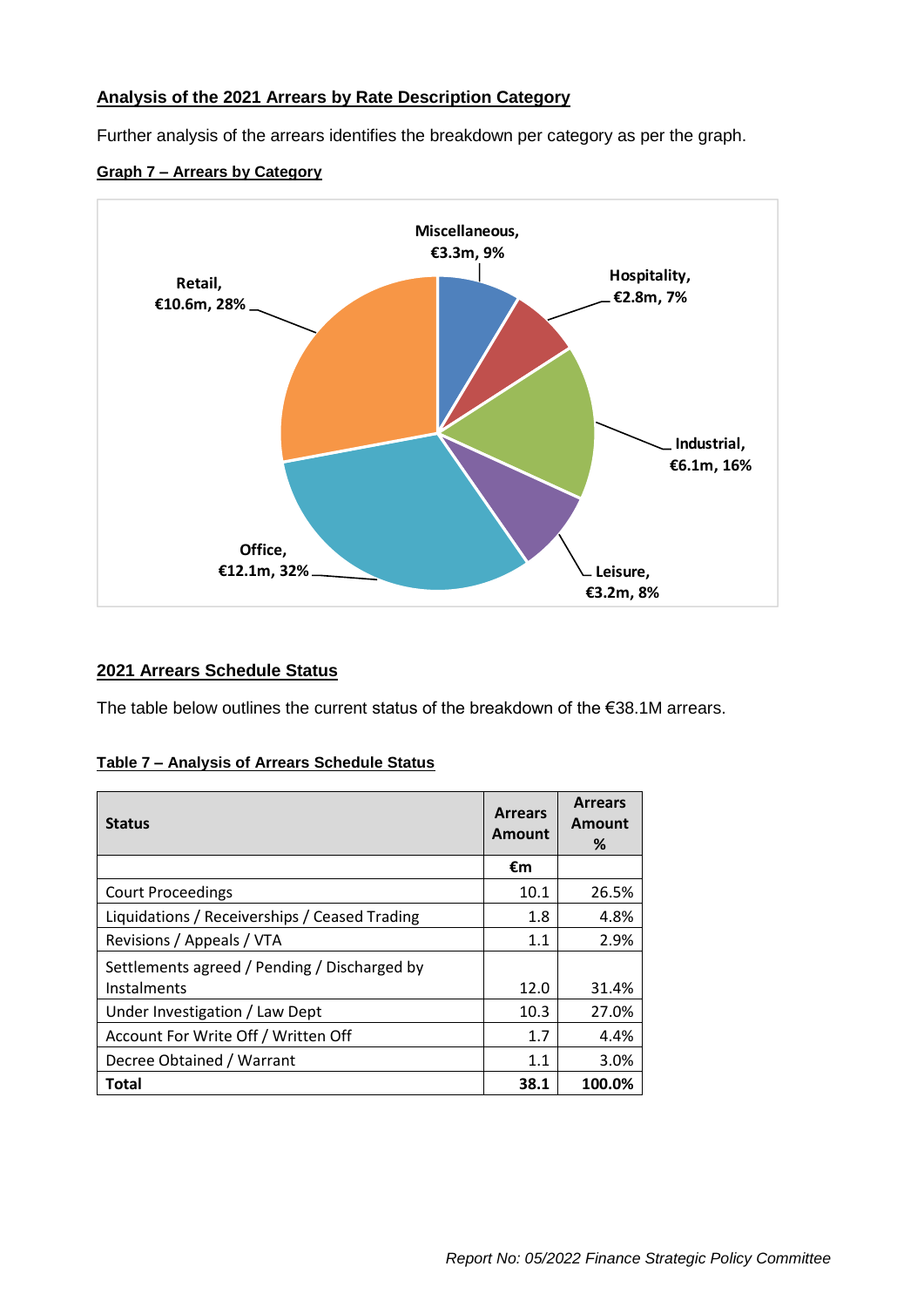## **Analysis of the 2021 Arrears by Rate Description Category**

Further analysis of the arrears identifies the breakdown per category as per the graph.

#### **Graph 7 – Arrears by Category**



## **2021 Arrears Schedule Status**

The table below outlines the current status of the breakdown of the €38.1M arrears.

#### **Table 7 – Analysis of Arrears Schedule Status**

| <b>Status</b>                                               | <b>Arrears</b><br><b>Amount</b> | <b>Arrears</b><br>Amount<br>% |
|-------------------------------------------------------------|---------------------------------|-------------------------------|
|                                                             | €m                              |                               |
| <b>Court Proceedings</b>                                    | 10.1                            | 26.5%                         |
| Liquidations / Receiverships / Ceased Trading               | 1.8                             | 4.8%                          |
| Revisions / Appeals / VTA                                   | 1.1                             | 2.9%                          |
| Settlements agreed / Pending / Discharged by<br>Instalments | 12.0                            | 31.4%                         |
| Under Investigation / Law Dept                              | 10.3                            | 27.0%                         |
| Account For Write Off / Written Off                         | 1.7                             | 4.4%                          |
| Decree Obtained / Warrant                                   | 1.1                             | 3.0%                          |
| <b>Total</b>                                                | 38.1                            | 100.0%                        |